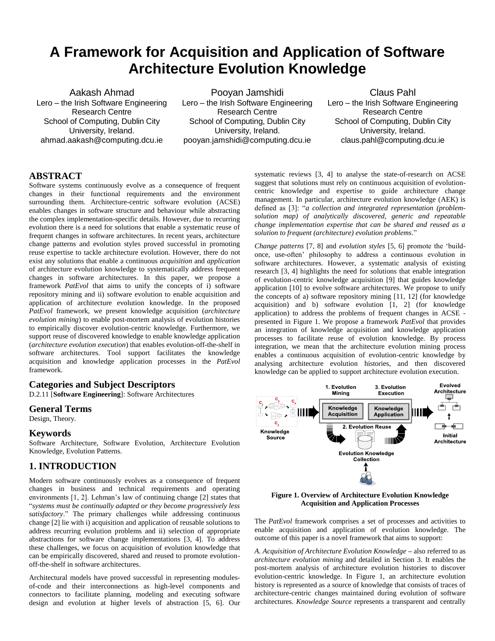# **A Framework for Acquisition and Application of Software Architecture Evolution Knowledge**

Aakash Ahmad Lero – the Irish Software Engineering Research Centre School of Computing, Dublin City University, Ireland. [ahmad.aakash@computing.dcu.ie](mailto:ahmad.aakash@computing.dcu.ie)

Pooyan Jamshidi Lero – the Irish Software Engineering Research Centre School of Computing, Dublin City University, Ireland. pooyan.jamshidi@computing.dcu.ie

Claus Pahl Lero – the Irish Software Engineering Research Centre School of Computing, Dublin City University, Ireland. claus.pahl@computing.dcu.ie

# **ABSTRACT**

Software systems continuously evolve as a consequence of frequent changes in their functional requirements and the environment surrounding them. Architecture-centric software evolution (ACSE) enables changes in software structure and behaviour while abstracting the complex implementation-specific details. However, due to recurring evolution there is a need for solutions that enable a systematic reuse of frequent changes in software architectures. In recent years, architecture change patterns and evolution styles proved successful in promoting reuse expertise to tackle architecture evolution. However, there do not exist any solutions that enable a continuous *acquisition* and *application* of architecture evolution knowledge to systematically address frequent changes in software architectures. In this paper, we propose a framework *PatEvol* that aims to unify the concepts of i) software repository mining and ii) software evolution to enable acquisition and application of architecture evolution knowledge. In the proposed *PatEvol* framework, we present knowledge acquisition (*architecture evolution mining*) to enable post-mortem analysis of evolution histories to empirically discover evolution-centric knowledge. Furthermore, we support reuse of discovered knowledge to enable knowledge application (*architecture evolution execution*) that enables evolution-off-the-shelf in software architectures. Tool support facilitates the knowledge acquisition and knowledge application processes in the *PatEvol* framework.

# **Categories and Subject Descriptors**

D.2.11 [**Software Engineering**]: Software Architectures

# **General Terms**

Design, Theory.

## **Keywords**

Software Architecture, Software Evolution, Architecture Evolution Knowledge, Evolution Patterns.

# **1. INTRODUCTION**

Modern software continuously evolves as a consequence of frequent changes in business and technical requirements and operating environments [1, 2]. Lehman's law of continuing change [2] states that "*systems must be continually adapted or they become progressively less satisfactory*." The primary challenges while addressing continuous change [2] lie with i) acquisition and application of reusable solutions to address recurring evolution problems and ii) selection of appropriate abstractions for software change implementations [3, 4]. To address these challenges, we focus on acquisition of evolution knowledge that can be empirically discovered, shared and reused to promote evolutionoff-the-shelf in software architectures.

Architectural models have proved successful in representing modulesof-code and their interconnections as high-level components and connectors to facilitate planning, modeling and executing software design and evolution at higher levels of abstraction [5, 6]. Our systematic reviews [3, 4] to analyse the state-of-research on ACSE suggest that solutions must rely on continuous acquisition of evolutioncentric knowledge and expertise to guide architecture change management. In particular, architecture evolution knowledge (AEK) is defined as [3]: "*a collection and integrated representation (problemsolution map) of analytically discovered, generic and repeatable change implementation expertise that can be shared and reused as a solution to frequent (architecture) evolution problems*."

*Change patterns* [7, 8] and *evolution styles* [5, 6] promote the 'buildonce, use-often' philosophy to address a continuous evolution in software architectures. However, a systematic analysis of existing research [3, 4] highlights the need for solutions that enable integration of evolution-centric knowledge acquisition [9] that guides knowledge application [10] to evolve software architectures. We propose to unify the concepts of a) software repository mining [11, 12] (for knowledge acquisition) and b) software evolution [1, 2] (for knowledge application) to address the problems of frequent changes in ACSE presented in Figure 1. We propose a framework *PatEvol* that provides an integration of knowledge acquisition and knowledge application processes to facilitate reuse of evolution knowledge. By process integration, we mean that the architecture evolution mining process enables a continuous acquisition of evolution-centric knowledge by analysing architecture evolution histories, and then discovered knowledge can be applied to support architecture evolution execution.



**Figure 1. Overview of Architecture Evolution Knowledge Acquisition and Application Processes**

The *PatEvol* framework comprises a set of processes and activities to enable acquisition and application of evolution knowledge. The outcome of this paper is a novel framework that aims to support:

A. Acquisition of Architecture Evolution Knowledge – also referred to as *architecture evolution mining* and detailed in Section 3. It enables the post-mortem analysis of architecture evolution histories to discover evolution-centric knowledge. In Figure 1, an architecture evolution history is represented as a source of knowledge that consists of traces of architecture-centric changes maintained during evolution of software architectures. *Knowledge Source* represents a transparent and centrally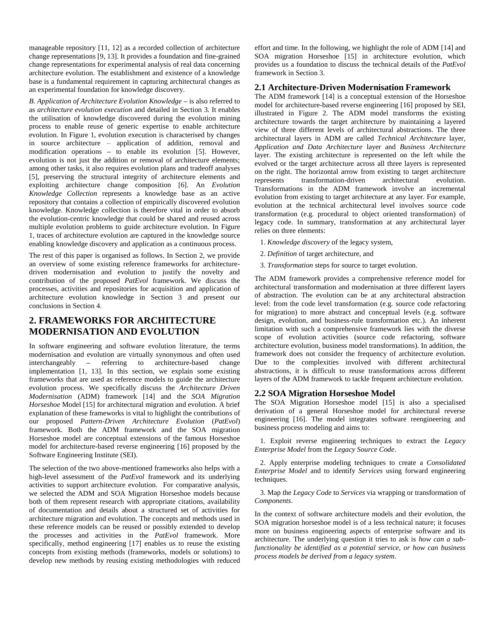manageable repository [11, 12] as a recorded collection of architecture change representations [9, 13]. It provides a foundation and fine-grained change representations for experimental analysis of real data concerning architecture evolution. The establishment and existence of a knowledge base is a fundamental requirement in capturing architectural changes as an experimental foundation for knowledge discovery.

*B. Application of Architecture Evolution Knowledge* **–** is also referred to as *architecture evolution execution* and detailed in Section 3. It enables the utilisation of knowledge discovered during the evolution mining process to enable reuse of generic expertise to enable architecture evolution. In Figure 1, evolution execution is characterised by changes in source architecture – application of addition, removal and modification operations **–** to enable its evolution [5]. However, evolution is not just the addition or removal of architecture elements; among other tasks, it also requires evolution plans and tradeoff analyses [5], preserving the structural integrity of architecture elements and exploiting architecture change composition [6]. An *Evolution Knowledge Collection* represents a knowledge base as an active repository that contains a collection of empirically discovered evolution knowledge. Knowledge collection is therefore vital in order to absorb the evolution-centric knowledge that could be shared and reused across multiple evolution problems to guide architecture evolution. In Figure 1, traces of architecture evolution are captured in the knowledge source enabling knowledge discovery and application as a continuous process.

The rest of this paper is organised as follows. In Section 2, we provide an overview of some existing reference frameworks for architecturedriven modernisation and evolution to justify the novelty and contribution of the proposed *PatEvol* framework. We discuss the processes, activities and repositories for acquisition and application of architecture evolution knowledge in Section 3 and present our conclusions in Section 4.

# **2. FRAMEWORKS FOR ARCHITECTURE MODERNISATION AND EVOLUTION**

In software engineering and software evolution literature, the terms modernisation and evolution are virtually synonymous and often used interchangeably **–** referring to architecture-based change implementation [1, 13]. In this section, we explain some existing frameworks that are used as reference models to guide the architecture evolution process. We specifically discuss the *Architecture Driven Modernisation* (ADM) framework [14] and the *SOA Migration Horseshoe* Model [15] for architectural migration and evolution. A brief explanation of these frameworks is vital to highlight the contributions of our proposed *Pattern-Driven Architecture Evolution* (*PatEvol*) framework. Both the ADM framework and the SOA migration Horseshoe model are conceptual extensions of the famous Horseshoe model for architecture-based reverse engineering [16] proposed by the Software Engineering Institute (SEI).

The selection of the two above-mentioned frameworks also helps with a high-level assessment of the *PatEvol* framework and its underlying activities to support architecture evolution. For comparative analysis, we selected the ADM and SOA Migration Horseshoe models because both of them represent research with appropriate citations, availability of documentation and details about a structured set of activities for architecture migration and evolution. The concepts and methods used in these reference models can be reused or possibly extended to develop the processes and activities in the *PatEvol* framework. More specifically, method engineering [17] enables us to reuse the existing concepts from existing methods (frameworks, models or solutions) to develop new methods by reusing existing methodologies with reduced

effort and time. In the following, we highlight the role of ADM [14] and SOA migration Horseshoe [15] in architecture evolution, which provides us a foundation to discuss the technical details of the *PatEvol* framework in Section 3.

## **2.1 Architecture-Driven Modernisation Framework**

The ADM framework [14] is a conceptual extension of the Horseshoe model for architecture-based reverse engineering [16] proposed by SEI, illustrated in Figure 2. The ADM model transforms the existing architecture towards the target architecture by maintaining a layered view of three different levels of architectural abstractions. The three architectural layers in ADM are called *Technical Architecture* layer, *Application and Data Architecture* layer and *Business Architecture* layer. The existing architecture is represented on the left while the evolved or the target architecture across all three layers is represented on the right. The horizontal arrow from existing to target architecture represents transformation-driven architectural evolution. Transformations in the ADM framework involve an incremental evolution from existing to target architecture at any layer. For example, evolution at the technical architectural level involves source code transformation (e.g. procedural to object oriented transformation) of legacy code. In summary, transformation at any architectural layer relies on three elements:

- 1. *Knowledge discovery* of the legacy system,
- 2. *Definition* of target architecture, and
- 3. *Transformation* steps for source to target evolution.

The ADM framework provides a comprehensive reference model for architectural transformation and modernisation at three different layers of abstraction. The evolution can be at any architectural abstraction level: from the code level transformation (e.g. source code refactoring for migration) to more abstract and conceptual levels (e.g. software design, evolution, and business-rule transformation etc.). An inherent limitation with such a comprehensive framework lies with the diverse scope of evolution activities (source code refactoring, software architecture evolution, business model transformations). In addition, the framework does not consider the frequency of architecture evolution. Due to the complexities involved with different architectural abstractions, it is difficult to reuse transformations across different layers of the ADM framework to tackle frequent architecture evolution.

#### **2.2 SOA Migration Horseshoe Model**

The SOA Migration Horseshoe model [15] is also a specialised derivation of a general Horseshoe model for architectural reverse engineering [16]. The model integrates software reengineering and business process modeling and aims to:

 1. Exploit reverse engineering techniques to extract the *Legacy Enterprise Model* from the *Legacy Source Code*.

 2. Apply enterprise modeling techniques to create a *Consolidated Enterprise Model* and to identify *Services* using forward engineering techniques.

 3. Map the *Legacy Code* to *Services* via wrapping or transformation of *Components*.

In the context of software architecture models and their evolution, the SOA migration horseshoe model is of a less technical nature; it focuses more on business engineering aspects of enterprise software and its architecture. The underlying question it tries to ask is *how can a subfunctionality be identified as a potential service, or how can business process models be derived from a legacy system*.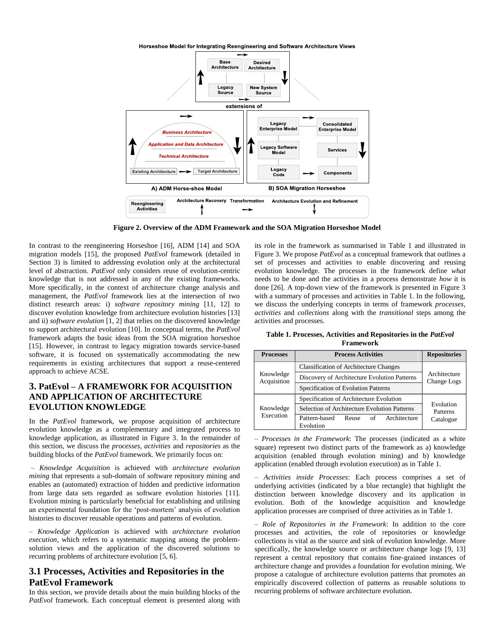

**Figure 2. Overview of the ADM Framework and the SOA Migration Horseshoe Model**

In contrast to the reengineering Horseshoe [16], ADM [14] and SOA migration models [15], the proposed *PatEvol* framework (detailed in Section 3) is limited to addressing evolution only at the architectural level of abstraction. *PatEvol* only considers reuse of evolution-centric knowledge that is not addressed in any of the existing frameworks. More specifically, in the context of architecture change analysis and management, the *PatEvol* framework lies at the intersection of two distinct research areas: i) *software repository mining* [11, 12] to discover evolution knowledge from architecture evolution histories [13] and ii) *software evolution* [1, 2] that relies on the discovered knowledge to support architectural evolution [10]. In conceptual terms, the *PatEvol* framework adapts the basic ideas from the SOA migration horseshoe [15]. However, in contrast to legacy migration towards service-based software, it is focused on systematically accommodating the new requirements in existing architectures that support a reuse-centered approach to achieve ACSE.

# **3. PatEvol – A FRAMEWORK FOR ACQUISITION AND APPLICATION OF ARCHITECTURE EVOLUTION KNOWLEDGE**

In the *PatEvol* framework, we propose acquisition of architecture evolution knowledge as a complementary and integrated process to knowledge application, as illustrated in Figure 3. In the remainder of this section, we discuss the *processes*, *activities* and *repositories* as the building blocks of the *PatEvol* framework. We primarily focus on:

– *Knowledge Acquisition* is achieved with *architecture evolution mining* that represents a sub-domain of software repository mining and enables an (automated) extraction of hidden and predictive information from large data sets regarded as software evolution histories [11]. Evolution mining is particularly beneficial for establishing and utilising an experimental foundation for the 'post-mortem' analysis of evolution histories to discover reusable operations and patterns of evolution.

– *Knowledge Application* is achieved with *architecture evolution execution*, which refers to a systematic mapping among the problemsolution views and the application of the discovered solutions to recurring problems of architecture evolution [5, 6].

# **3.1 Processes, Activities and Repositories in the PatEvol Framework**

In this section, we provide details about the main building blocks of the PatEvol framework. Each conceptual element is presented along with its role in the framework as summarised in Table 1 and illustrated in Figure 3. We propose *PatEvol* as a conceptual framework that outlines a set of processes and activities to enable discovering and reusing evolution knowledge. The processes in the framework define *what* needs to be done and the activities in a process demonstrate *how* it is done [26]. A top-down view of the framework is presented in Figure 3 with a summary of processes and activities in Table 1. In the following, we discuss the underlying concepts in terms of framework *processes*, *activities* and *collections* along with the *transitional* steps among the activities and processes.

**Table 1. Processes, Activities and Repositories in the** *PatEvol* **Framework**

| <b>Processes</b>         | <b>Process Activities</b>                                 | <b>Repositories</b>                |
|--------------------------|-----------------------------------------------------------|------------------------------------|
| Knowledge<br>Acquisition | <b>Classification of Architecture Changes</b>             | Architecture<br>Change Logs        |
|                          | Discovery of Architecture Evolution Patterns              |                                    |
|                          | Specification of Evolution Patterns                       |                                    |
| Knowledge<br>Execution   | Specification of Architecture Evolution                   | Evolution<br>Patterns<br>Catalogue |
|                          | Selection of Architecture Evolution Patterns              |                                    |
|                          | Architecture<br>Pattern-based<br>Reuse<br>of<br>Evolution |                                    |

– *Processes in the Framework*: The processes (indicated as a white square) represent two distinct parts of the framework as a) knowledge acquisition (enabled through evolution mining) and b) knowledge application (enabled through evolution execution) as in Table 1.

– *Activities inside Processes*: Each process comprises a set of underlying activities (indicated by a blue rectangle) that highlight the distinction between knowledge discovery and its application in evolution. Both of the knowledge acquisition and knowledge application processes are comprised of three activities as in Table 1.

– *Role of Repositories in the Framework*: In addition to the core processes and activities, the role of repositories or knowledge collections is vital as the source and sink of evolution knowledge. More specifically, the knowledge source or architecture change logs [9, 13] represent a central repository that contains fine-grained instances of architecture change and provides a foundation for evolution mining. We propose a catalogue of architecture evolution patterns that promotes an empirically discovered collection of patterns as reusable solutions to recurring problems of software architecture evolution.

Horseshoe Model for Integrating Reengineering and Software Architecture Views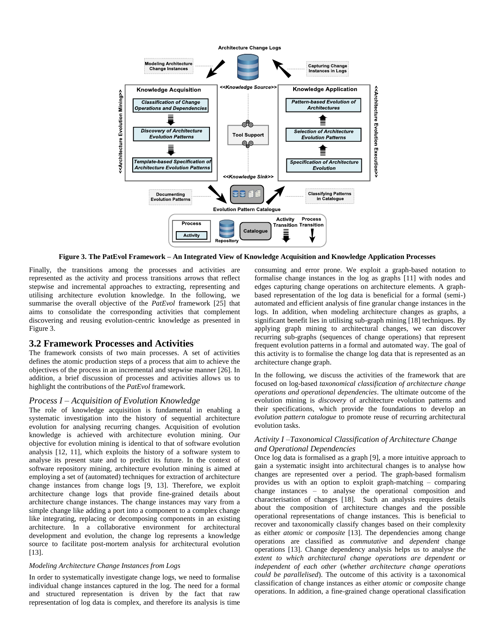

**Figure 3. The PatEvol Framework – An Integrated View of Knowledge Acquisition and Knowledge Application Processes**

Finally, the transitions among the processes and activities are represented as the activity and process transitions arrows that reflect stepwise and incremental approaches to extracting, representing and utilising architecture evolution knowledge. In the following, we summarise the overall objective of the *PatEvol* framework [25] that aims to consolidate the corresponding activities that complement discovering and reusing evolution-centric knowledge as presented in Figure 3.

## **3.2 Framework Processes and Activities**

The framework consists of two main processes. A set of activities defines the atomic production steps of a process that aim to achieve the objectives of the process in an incremental and stepwise manner [26]. In addition, a brief discussion of processes and activities allows us to highlight the contributions of the *PatEvol* framework.

#### *Process I – Acquisition of Evolution Knowledge*

The role of knowledge acquisition is fundamental in enabling a systematic investigation into the history of sequential architecture evolution for analysing recurring changes. Acquisition of evolution knowledge is achieved with architecture evolution mining. Our objective for evolution mining is identical to that of software evolution analysis [12, 11], which exploits the history of a software system to analyse its present state and to predict its future. In the context of software repository mining, architecture evolution mining is aimed at employing a set of (automated) techniques for extraction of architecture change instances from change logs [9, 13]. Therefore, we exploit architecture change logs that provide fine-grained details about architecture change instances. The change instances may vary from a simple change like adding a port into a component to a complex change like integrating, replacing or decomposing components in an existing architecture. In a collaborative environment for architectural development and evolution, the change log represents a knowledge source to facilitate post-mortem analysis for architectural evolution [13].

#### *Modeling Architecture Change Instances from Logs*

In order to systematically investigate change logs, we need to formalise individual change instances captured in the log. The need for a formal and structured representation is driven by the fact that raw representation of log data is complex, and therefore its analysis is time consuming and error prone. We exploit a graph-based notation to formalise change instances in the log as graphs [11] with nodes and edges capturing change operations on architecture elements. A graphbased representation of the log data is beneficial for a formal (semi-) automated and efficient analysis of fine granular change instances in the logs. In addition, when modeling architecture changes as graphs, a significant benefit lies in utilising sub-graph mining [18] techniques. By applying graph mining to architectural changes, we can discover recurring sub-graphs (sequences of change operations) that represent frequent evolution patterns in a formal and automated way. The goal of this activity is to formalise the change log data that is represented as an architecture change graph.

In the following, we discuss the activities of the framework that are focused on log-based *taxonomical classification of architecture change operations and operational dependencies*. The ultimate outcome of the evolution mining is *discovery* of architecture evolution patterns and their specifications, which provide the foundations to develop an *evolution pattern catalogue* to promote reuse of recurring architectural evolution tasks.

#### *Activity I –Taxonomical Classification of Architecture Change and Operational Dependencies*

Once log data is formalised as a graph [9], a more intuitive approach to gain a systematic insight into architectural changes is to analyse how changes are represented over a period. The graph-based formalism provides us with an option to exploit graph-matching – comparing change instances – to analyse the operational composition and characterisation of changes [18]. Such an analysis requires details about the composition of architecture changes and the possible operational representations of change instances. This is beneficial to recover and taxonomically classify changes based on their complexity as either *atomic* or *composite* [13]. The dependencies among change operations are classified as *commutative* and *dependent* change operations [13]. Change dependency analysis helps us to analyse *the extent to which architectural change operations are dependent or independent of each other* (*whether architecture change operations could be parallelised*). The outcome of this activity is a taxonomical classification of change instances as either *atomic* or *composite* change operations. In addition, a fine-grained change operational classification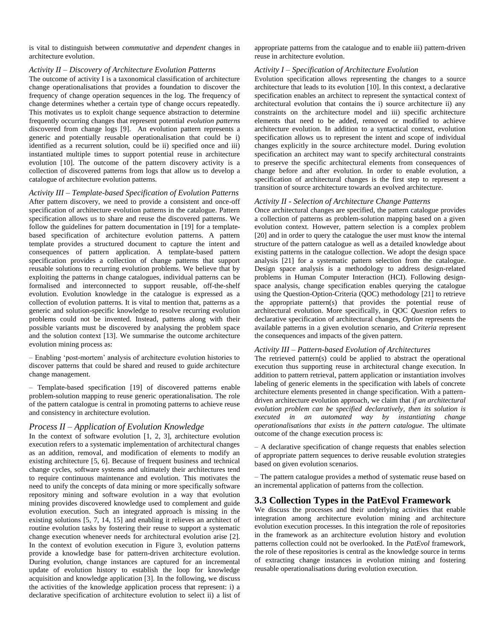is vital to distinguish between *commutative* and *dependent* changes in architecture evolution.

# *Activity II – Discovery of Architecture Evolution Patterns*

The outcome of activity I is a taxonomical classification of architecture change operationalisations that provides a foundation to discover the frequency of change operation sequences in the log. The frequency of change determines whether a certain type of change occurs repeatedly. This motivates us to exploit change sequence abstraction to determine frequently occurring changes that represent potential *evolution patterns* discovered from change logs [9]. An evolution pattern represents a generic and potentially reusable operationalisation that could be i) identified as a recurrent solution, could be ii) specified once and iii) instantiated multiple times to support potential reuse in architecture evolution [10]. The outcome of the pattern discovery activity is a collection of discovered patterns from logs that allow us to develop a catalogue of architecture evolution patterns.

# *Activity III – Template-based Specification of Evolution Patterns*

After pattern discovery, we need to provide a consistent and once-off specification of architecture evolution patterns in the catalogue. Pattern specification allows us to share and reuse the discovered patterns. We follow the guidelines for pattern documentation in [19] for a templatebased specification of architecture evolution patterns. A pattern template provides a structured document to capture the intent and consequences of pattern application. A template-based pattern specification provides a collection of change patterns that support reusable solutions to recurring evolution problems. We believe that by exploiting the patterns in change catalogues, individual patterns can be formalised and interconnected to support reusable, off-the-shelf evolution. Evolution knowledge in the catalogue is expressed as a collection of evolution patterns. It is vital to mention that, patterns as a generic and solution-specific knowledge to resolve recurring evolution problems could not be invented. Instead, patterns along with their possible variants must be discovered by analysing the problem space and the solution context [13]. We summarise the outcome architecture evolution mining process as:

– Enabling 'post-mortem' analysis of architecture evolution histories to discover patterns that could be shared and reused to guide architecture change management.

– Template-based specification [19] of discovered patterns enable problem-solution mapping to reuse generic operationalisation. The role of the pattern catalogue is central in promoting patterns to achieve reuse and consistency in architecture evolution.

#### *Process II – Application of Evolution Knowledge*

In the context of software evolution [1, 2, 3], architecture evolution execution refers to a systematic implementation of architectural changes as an addition, removal, and modification of elements to modify an existing architecture [5, 6]. Because of frequent business and technical change cycles, software systems and ultimately their architectures tend to require continuous maintenance and evolution. This motivates the need to unify the concepts of data mining or more specifically software repository mining and software evolution in a way that evolution mining provides discovered knowledge used to complement and guide evolution execution. Such an integrated approach is missing in the existing solutions [5, 7, 14, 15] and enabling it relieves an architect of routine evolution tasks by fostering their reuse to support a systematic change execution whenever needs for architectural evolution arise [2]. In the context of evolution execution in Figure 3, evolution patterns provide a knowledge base for pattern-driven architecture evolution. During evolution, change instances are captured for an incremental update of evolution history to establish the loop for knowledge acquisition and knowledge application [3]. In the following, we discuss the activities of the knowledge application process that represent: i) a declarative specification of architecture evolution to select ii) a list of appropriate patterns from the catalogue and to enable iii) pattern-driven reuse in architecture evolution.

#### *Activity I – Specification of Architecture Evolution*

Evolution specification allows representing the changes to a source architecture that leads to its evolution [10]. In this context, a declarative specification enables an architect to represent the syntactical context of architectural evolution that contains the i) source architecture ii) any constraints on the architecture model and iii) specific architecture elements that need to be added, removed or modified to achieve architecture evolution. In addition to a syntactical context, evolution specification allows us to represent the intent and scope of individual changes explicitly in the source architecture model. During evolution specification an architect may want to specify architectural constraints to preserve the specific architectural elements from consequences of change before and after evolution. In order to enable evolution, a specification of architectural changes is the first step to represent a transition of source architecture towards an evolved architecture.

#### *Activity II - Selection of Architecture Change Patterns*

Once architectural changes are specified, the pattern catalogue provides a collection of patterns as problem-solution mapping based on a given evolution context. However, pattern selection is a complex problem [20] and in order to query the catalogue the user must know the internal structure of the pattern catalogue as well as a detailed knowledge about existing patterns in the catalogue collection. We adopt the design space analysis [21] for a systematic pattern selection from the catalogue. Design space analysis is a methodology to address design-related problems in Human Computer Interaction (HCI). Following designspace analysis, change specification enables querying the catalogue using the Question-Option-Criteria (QOC) methodology [21] to retrieve the appropriate pattern(s) that provides the potential reuse of architectural evolution. More specifically, in QOC *Question* refers to declarative specification of architectural changes, *Option* represents the available patterns in a given evolution scenario, and *Criteria* represent the consequences and impacts of the given pattern.

#### *Activity III – Pattern-based Evolution of Architectures*

The retrieved pattern(s) could be applied to abstract the operational execution thus supporting reuse in architectural change execution. In addition to pattern retrieval, pattern application or instantiation involves labeling of generic elements in the specification with labels of concrete architecture elements presented in change specification. With a patterndriven architecture evolution approach, we claim that *if an architectural evolution problem can be specified declaratively, then its solution is executed in an automated way by instantiating change operationalisations that exists in the pattern catalogue*. The ultimate outcome of the change execution process is:

– A declarative specification of change requests that enables selection of appropriate pattern sequences to derive reusable evolution strategies based on given evolution scenarios.

– The pattern catalogue provides a method of systematic reuse based on an incremental application of patterns from the collection.

# **3.3 Collection Types in the PatEvol Framework**

We discuss the processes and their underlying activities that enable integration among architecture evolution mining and architecture evolution execution processes. In this integration the role of repositories in the framework as an architecture evolution history and evolution patterns collection could not be overlooked. In the *PatEvol* framework, the role of these repositories is central as the knowledge source in terms of extracting change instances in evolution mining and fostering reusable operationalisations during evolution execution.